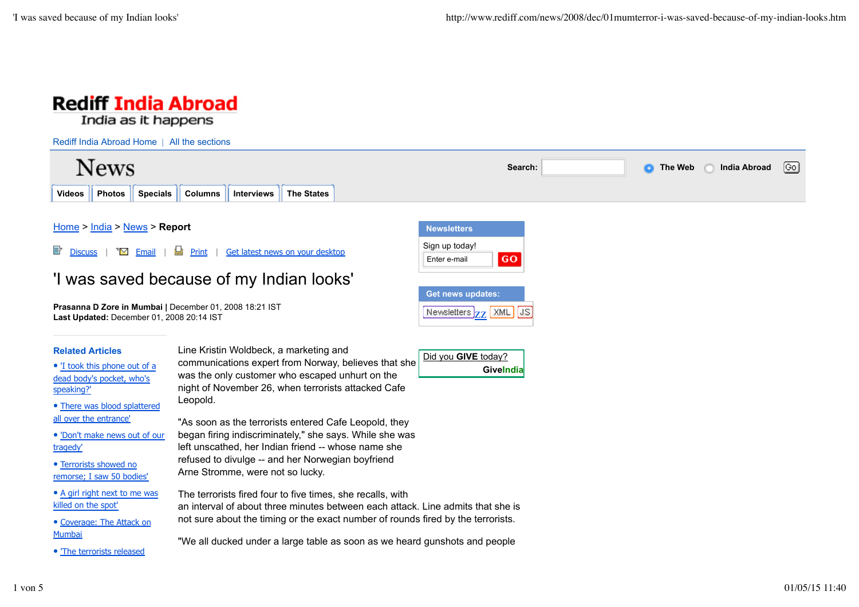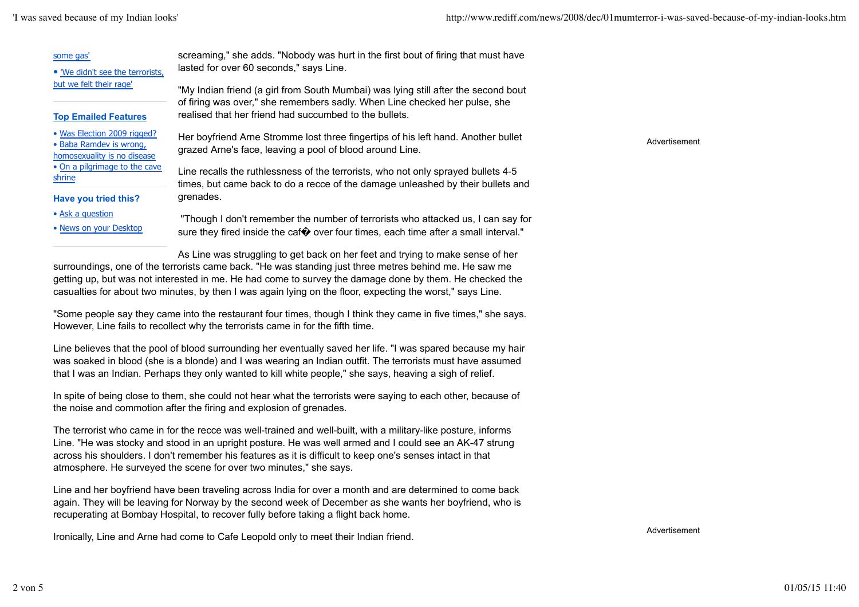Advertisement

| some gas'                                                                             | screaming," she adds. "Nobody was hurt in the first bout of firing that must have                                                                                    |
|---------------------------------------------------------------------------------------|----------------------------------------------------------------------------------------------------------------------------------------------------------------------|
| . 'We didn't see the terrorists,                                                      | lasted for over 60 seconds," says Line.                                                                                                                              |
| but we felt their rage'                                                               | "My Indian friend (a girl from South Mumbai) was lying still after the second bout<br>of firing was over," she remembers sadly. When Line checked her pulse, she     |
| <b>Top Emailed Features</b>                                                           | realised that her friend had succumbed to the bullets.                                                                                                               |
| • Was Election 2009 rigged?<br>• Baba Ramdev is wrong,<br>homosexuality is no disease | Her boyfriend Arne Stromme lost three fingertips of his left hand. Another bullet<br>grazed Arne's face, leaving a pool of blood around Line.                        |
| • On a pilgrimage to the cave<br>shrine                                               | Line recalls the ruthlessness of the terrorists, who not only sprayed bullets 4-5<br>times, but came back to do a recce of the damage unleashed by their bullets and |
| Have you tried this?                                                                  | grenades.                                                                                                                                                            |
| • Ask a question                                                                      | "Though I don't remember the number of terrorists who attacked us, I can say for                                                                                     |
| • News on your Desktop                                                                | sure they fired inside the caf $\bullet$ over four times, each time after a small interval."                                                                         |
|                                                                                       | As Line was struggling to got back on best foot and trying to make sense of best                                                                                     |

As Line was struggling to get back on her feet and trying to make sense of her surroundings, one of the terrorists came back. "He was standing just three metres behind me. He saw me getting up, but was not interested in me. He had come to survey the damage done by them. He checked the casualties for about two minutes, by then I was again lying on the floor, expecting the worst," says Line.

"Some people say they came into the restaurant four times, though I think they came in five times," she says. However, Line fails to recollect why the terrorists came in for the fifth time.

Line believes that the pool of blood surrounding her eventually saved her life. "I was spared because my hair was soaked in blood (she is a blonde) and I was wearing an Indian outfit. The terrorists must have assumed that I was an Indian. Perhaps they only wanted to kill white people," she says, heaving a sigh of relief.

In spite of being close to them, she could not hear what the terrorists were saying to each other, because of the noise and commotion after the firing and explosion of grenades.

The terrorist who came in for the recce was well-trained and well-built, with a military-like posture, informs Line. "He was stocky and stood in an upright posture. He was well armed and I could see an AK-47 strung across his shoulders. I don't remember his features as it is difficult to keep one's senses intact in that atmosphere. He surveyed the scene for over two minutes," she says.

Line and her boyfriend have been traveling across India for over a month and are determined to come back again. They will be leaving for Norway by the second week of December as she wants her boyfriend, who is recuperating at Bombay Hospital, to recover fully before taking a flight back home.

Ironically, Line and Arne had come to Cafe Leopold only to meet their Indian friend.

Advertisement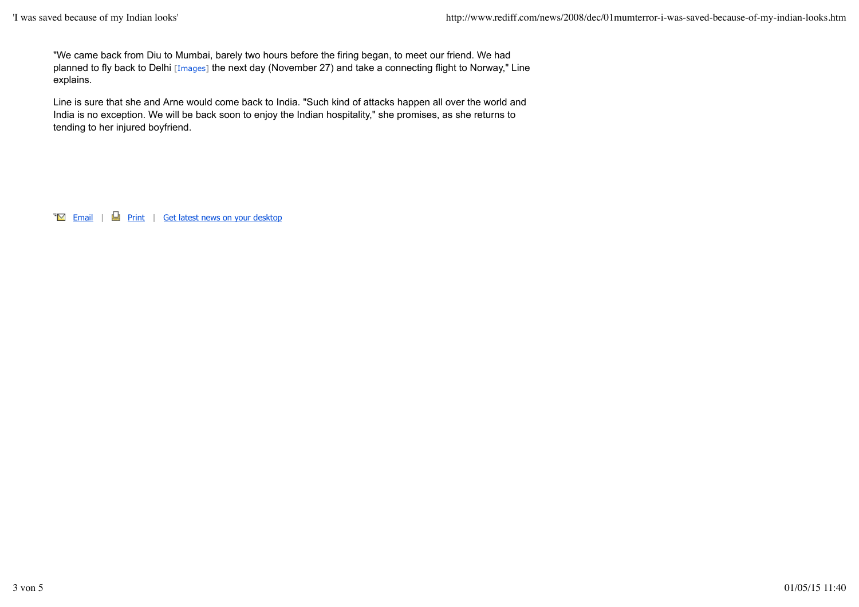"We came back from Diu to Mumbai, barely two hours before the firing began, to meet our friend. We had planned to fly back to Delhi [Images] the next day (November 27) and take a connecting flight to Norway," Line explains.

Line is sure that she and Arne would come back to India. "Such kind of attacks happen all over the world and India is no exception. We will be back soon to enjoy the Indian hospitality," she promises, as she returns to tending to her injured boyfriend.

 $\overline{\bullet}$  Email |  $\Box$  Print | Get latest news on your desktop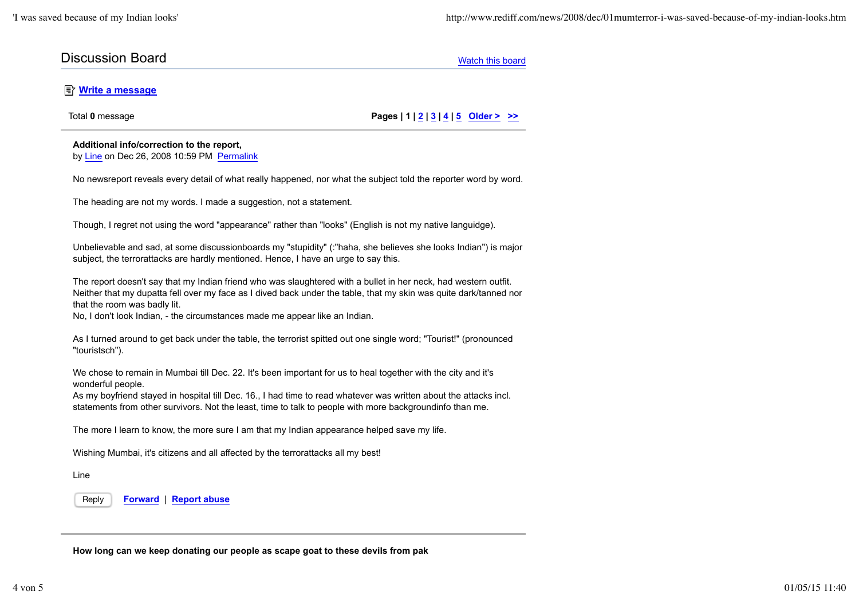## **Discussion Board** Watch this board Watch this board Watch this board

## *<u><b>Write a message</u>*

Total **0** message **Pages | 1 | 2 | 3 | 4 | 5 Older > >>**

## **Additional info/correction to the report,** by Line on Dec 26, 2008 10:59 PM Permalink

No newsreport reveals every detail of what really happened, nor what the subject told the reporter word by word.

The heading are not my words. I made a suggestion, not a statement.

Though, I regret not using the word "appearance" rather than "looks" (English is not my native languidge).

Unbelievable and sad, at some discussionboards my "stupidity" (:"haha, she believes she looks Indian") is major subject, the terrorattacks are hardly mentioned. Hence, I have an urge to say this.

The report doesn't say that my Indian friend who was slaughtered with a bullet in her neck, had western outfit. Neither that my dupatta fell over my face as I dived back under the table, that my skin was quite dark/tanned nor that the room was badly lit.

No, I don't look Indian, - the circumstances made me appear like an Indian.

As I turned around to get back under the table, the terrorist spitted out one single word; "Tourist!" (pronounced "touristsch").

We chose to remain in Mumbai till Dec. 22. It's been important for us to heal together with the city and it's wonderful people.

As my boyfriend stayed in hospital till Dec. 16., I had time to read whatever was written about the attacks incl. statements from other survivors. Not the least, time to talk to people with more backgroundinfo than me.

The more I learn to know, the more sure I am that my Indian appearance helped save my life.

Wishing Mumbai, it's citizens and all affected by the terrorattacks all my best!

Line

Reply **Forward** | **Report abuse**

**How long can we keep donating our people as scape goat to these devils from pak**